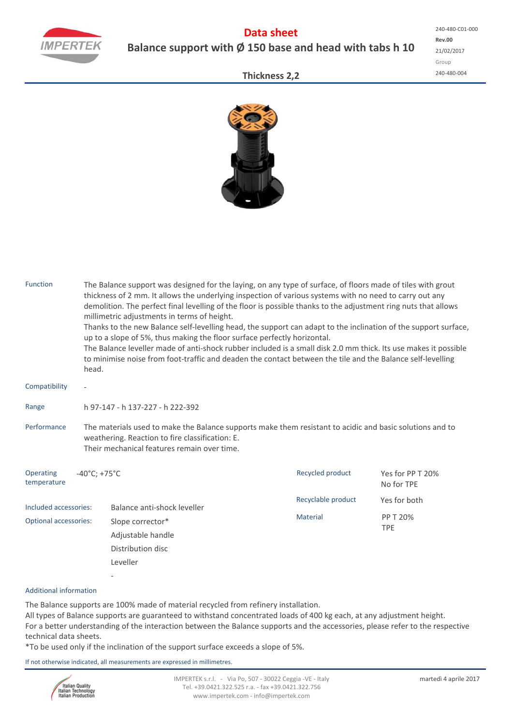

# **Data sheet Balance support with Ø 150 base and head with tabs h 10**

**Rev.00** 21/02/2017 Group 240‐480‐004 240‐480‐C01‐000

### **Thickness 2,2**



| <b>Function</b>                                                                                                                                                                                                           | head.                                 | The Balance support was designed for the laying, on any type of surface, of floors made of tiles with grout<br>thickness of 2 mm. It allows the underlying inspection of various systems with no need to carry out any<br>demolition. The perfect final levelling of the floor is possible thanks to the adjustment ring nuts that allows<br>millimetric adjustments in terms of height.<br>Thanks to the new Balance self-levelling head, the support can adapt to the inclination of the support surface,<br>up to a slope of 5%, thus making the floor surface perfectly horizontal.<br>The Balance leveller made of anti-shock rubber included is a small disk 2.0 mm thick. Its use makes it possible<br>to minimise noise from foot-traffic and deaden the contact between the tile and the Balance self-levelling |                    |                                |  |  |  |  |  |
|---------------------------------------------------------------------------------------------------------------------------------------------------------------------------------------------------------------------------|---------------------------------------|--------------------------------------------------------------------------------------------------------------------------------------------------------------------------------------------------------------------------------------------------------------------------------------------------------------------------------------------------------------------------------------------------------------------------------------------------------------------------------------------------------------------------------------------------------------------------------------------------------------------------------------------------------------------------------------------------------------------------------------------------------------------------------------------------------------------------|--------------------|--------------------------------|--|--|--|--|--|
| Compatibility                                                                                                                                                                                                             |                                       |                                                                                                                                                                                                                                                                                                                                                                                                                                                                                                                                                                                                                                                                                                                                                                                                                          |                    |                                |  |  |  |  |  |
| Range                                                                                                                                                                                                                     | h 97-147 - h 137-227 - h 222-392      |                                                                                                                                                                                                                                                                                                                                                                                                                                                                                                                                                                                                                                                                                                                                                                                                                          |                    |                                |  |  |  |  |  |
| Performance<br>The materials used to make the Balance supports make them resistant to acidic and basic solutions and to<br>weathering. Reaction to fire classification: E.<br>Their mechanical features remain over time. |                                       |                                                                                                                                                                                                                                                                                                                                                                                                                                                                                                                                                                                                                                                                                                                                                                                                                          |                    |                                |  |  |  |  |  |
| Operating<br>temperature                                                                                                                                                                                                  | $-40^{\circ}$ C; +75 $^{\circ}$ C     |                                                                                                                                                                                                                                                                                                                                                                                                                                                                                                                                                                                                                                                                                                                                                                                                                          | Recycled product   | Yes for PP T 20%<br>No for TPE |  |  |  |  |  |
| Included accessories:                                                                                                                                                                                                     |                                       | Balance anti-shock leveller                                                                                                                                                                                                                                                                                                                                                                                                                                                                                                                                                                                                                                                                                                                                                                                              | Recyclable product | Yes for both                   |  |  |  |  |  |
| <b>Optional accessories:</b>                                                                                                                                                                                              | Slope corrector*<br>Adjustable handle |                                                                                                                                                                                                                                                                                                                                                                                                                                                                                                                                                                                                                                                                                                                                                                                                                          | <b>Material</b>    | PP T 20%<br><b>TPE</b>         |  |  |  |  |  |
|                                                                                                                                                                                                                           |                                       | Distribution disc                                                                                                                                                                                                                                                                                                                                                                                                                                                                                                                                                                                                                                                                                                                                                                                                        |                    |                                |  |  |  |  |  |
|                                                                                                                                                                                                                           |                                       | Leveller                                                                                                                                                                                                                                                                                                                                                                                                                                                                                                                                                                                                                                                                                                                                                                                                                 |                    |                                |  |  |  |  |  |
|                                                                                                                                                                                                                           |                                       |                                                                                                                                                                                                                                                                                                                                                                                                                                                                                                                                                                                                                                                                                                                                                                                                                          |                    |                                |  |  |  |  |  |

#### Additional information

The Balance supports are 100% made of material recycled from refinery installation. All types of Balance supports are guaranteed to withstand concentrated loads of 400 kg each, at any adjustment height. For a better understanding of the interaction between the Balance supports and the accessories, please refer to the respective technical data sheets.

\*To be used only if the inclination of the support surface exceeds a slope of 5%.

If not otherwise indicated, all measurements are expressed in millimetres.